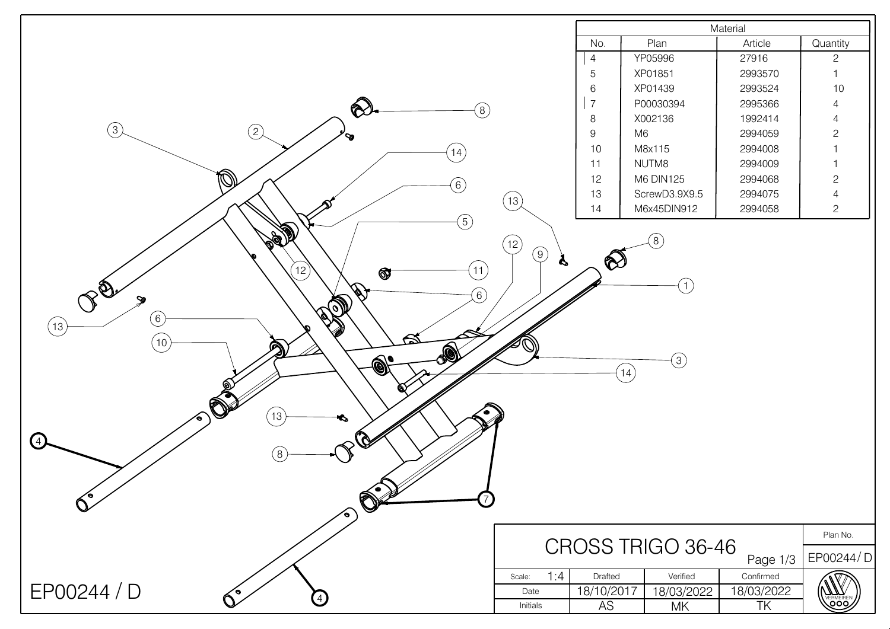|                                                                                                                                                                                                                                |                         | Material          |                                                              |            |                       |
|--------------------------------------------------------------------------------------------------------------------------------------------------------------------------------------------------------------------------------|-------------------------|-------------------|--------------------------------------------------------------|------------|-----------------------|
|                                                                                                                                                                                                                                |                         | No.               | Plan                                                         | Article    | Quantity              |
|                                                                                                                                                                                                                                |                         | $\overline{4}$    | YP05996                                                      | 27916      | $\overline{c}$        |
|                                                                                                                                                                                                                                |                         | 5                 | XP01851                                                      | 2993570    | -1                    |
|                                                                                                                                                                                                                                |                         | $\,6\,$           | XP01439                                                      | 2993524    | 10                    |
| $\bigotimes$<br>$\left(\begin{matrix} 8 \end{matrix}\right)$                                                                                                                                                                   |                         | $\overline{7}$    | P00030394                                                    | 2995366    | $\overline{4}$        |
|                                                                                                                                                                                                                                |                         | 8                 | X002136                                                      | 1992414    | 4                     |
| $\circled{3}$<br>$\left( 2\right)$                                                                                                                                                                                             |                         | $\boldsymbol{9}$  | M <sub>6</sub>                                               | 2994059    | $\mathbf{2}$          |
| $\left(14\right)$                                                                                                                                                                                                              |                         | 10                | M8x115                                                       | 2994008    |                       |
|                                                                                                                                                                                                                                |                         | 11                | NUTM8                                                        | 2994009    |                       |
| (O)<br>$\left(6\right)$                                                                                                                                                                                                        |                         | 12                | <b>M6 DIN125</b>                                             | 2994068    | $\mathbf{2}$          |
|                                                                                                                                                                                                                                | $^{'}$ 13               | 13                | ScrewD3.9X9.5                                                | 2994075    | $\overline{4}$        |
|                                                                                                                                                                                                                                |                         | 14                | M6x45DIN912                                                  | 2994058    | $\overline{c}$        |
| 5<br><b>REA</b><br>(12)<br>(11)<br>$\circledcirc$<br>$\mathscr{F}^{\bigotimes}$<br>$\bigotimes$<br>(6)<br>S<br>$\mathbb{Z}$<br>$\odot$<br>(13)<br>๘<br>(10)<br>Q<br>$\bullet$<br>(13)<br>⇖<br>(4)<br>(8)<br>$\mathbb{C}$<br>′ື | (12)<br>(9)<br>$\bm{S}$ | $\otimes$<br>(14) | $\left( 8\right)$<br>(1)<br>$\circledS$<br>CROSS TRIGO 36-46 |            | Plan No.<br>EP00244/D |
|                                                                                                                                                                                                                                |                         |                   |                                                              | Page 1/3   |                       |
|                                                                                                                                                                                                                                | 1:4<br>Scale:           | Drafted           | Verified                                                     | Confirmed  |                       |
| EP00244 / D<br>$\sim$<br>4                                                                                                                                                                                                     | Date                    | 18/10/2017        | 18/03/2022                                                   | 18/03/2022 |                       |
|                                                                                                                                                                                                                                | Initials                | <b>AS</b>         | MK                                                           | TK         |                       |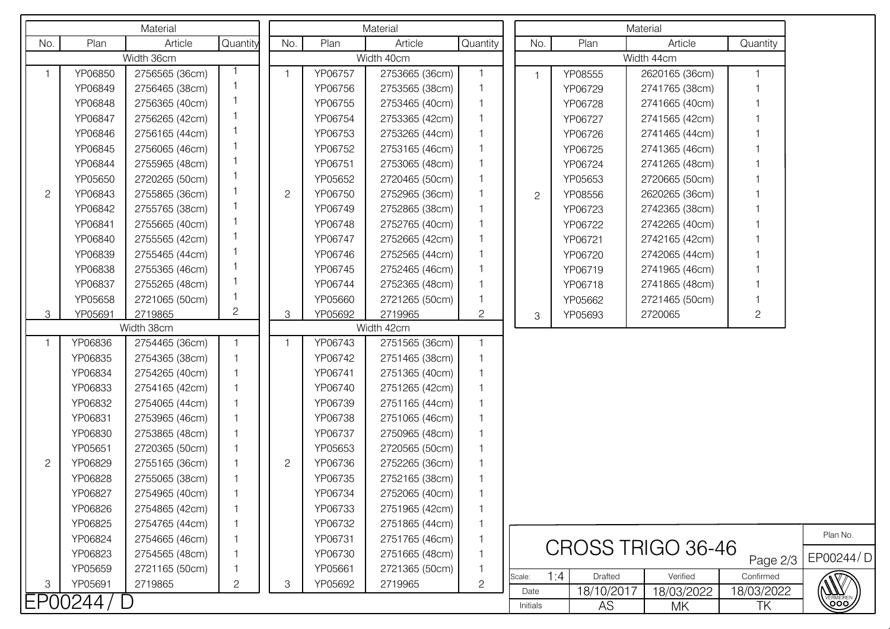|                | Material    |                |                | Material     |            |                | Material                |              |                |                   |                |
|----------------|-------------|----------------|----------------|--------------|------------|----------------|-------------------------|--------------|----------------|-------------------|----------------|
| No.            | Plan        | Article        | Quantity       | No.          | Plan       | Article        | Quantity                | No.          | Plan           | Article           | Quantity       |
|                |             | Width 36cm     |                |              | Width 40cm |                |                         |              |                | Width 44cm        |                |
|                | YP06850     | 2756565 (36cm) |                |              | YP06757    | 2753665 (36cm) |                         | 1.           | YP08555        | 2620165 (36cm)    | 1              |
|                | YP06849     | 2756465 (38cm) | -1             |              | YP06756    | 2753565 (38cm) | $\mathbf{1}$            |              | YP06729        | 2741765 (38cm)    | -1             |
|                | YP06848     | 2756365 (40cm) |                |              | YP06755    | 2753465 (40cm) | $\mathbf 1$             |              | YP06728        | 2741665 (40cm)    |                |
|                | YP06847     | 2756265 (42cm) |                |              | YP06754    | 2753365 (42cm) | 1                       |              | YP06727        | 2741565 (42cm)    |                |
|                | YP06846     | 2756165 (44cm) |                |              | YP06753    | 2753265 (44cm) | 1                       |              | YP06726        | 2741465 (44cm)    |                |
|                | YP06845     | 2756065 (46cm) |                |              | YP06752    | 2753165 (46cm) | 1                       |              | YP06725        | 2741365 (46cm)    |                |
|                | YP06844     | 2755965 (48cm) | -1             |              | YP06751    | 2753065 (48cm) | 1                       |              | YP06724        | 2741265 (48cm)    |                |
|                | YP05650     | 2720265 (50cm) |                |              | YP05652    | 2720465 (50cm) | 1                       |              | YP05653        | 2720665 (50cm)    |                |
| $\mathbf{2}$   | YP06843     | 2755865 (36cm) |                | $\mathbf{2}$ | YP06750    | 2752965 (36cm) | 1                       | $\mathbf{2}$ | YP08556        | 2620265 (36cm)    |                |
|                | YP06842     | 2755765 (38cm) | -1             |              | YP06749    | 2752865 (38cm) | 1                       |              | YP06723        | 2742365 (38cm)    |                |
|                | YP06841     | 2755665 (40cm) |                |              | YP06748    | 2752765 (40cm) | 1                       |              | YP06722        | 2742265 (40cm)    |                |
|                | YP06840     | 2755565 (42cm) |                |              | YP06747    | 2752665 (42cm) | 1                       |              | YP06721        | 2742165 (42cm)    |                |
|                | YP06839     | 2755465 (44cm) |                |              | YP06746    | 2752565 (44cm) | $\mathbf 1$             |              | YP06720        | 2742065 (44cm)    |                |
|                | YP06838     | 2755365 (46cm) |                |              | YP06745    | 2752465 (46cm) | 1                       |              | YP06719        | 2741965 (46cm)    |                |
|                | YP06837     | 2755265 (48cm) | -1             |              | YP06744    | 2752365 (48cm) | 1                       |              | YP06718        | 2741865 (48cm)    |                |
|                | YP05658     | 2721065 (50cm) |                |              | YP05660    | 2721265 (50cm) | 1                       |              | YP05662        | 2721465 (50cm)    |                |
| 3              | YP05691     | 2719865        | 2              | 3            | YP05692    | 2719965        | $\mathbf{2}$            | 3            | YP05693        | 2720065           | $\overline{c}$ |
|                | Width 38cm  |                |                |              |            | Width 42cm     |                         |              |                |                   |                |
|                | YP06836     | 2754465 (36cm) | $\mathbf{1}$   |              | YP06743    | 2751565 (36cm) | $\mathbf{1}$            |              |                |                   |                |
|                | YP06835     | 2754365 (38cm) | $\mathbf 1$    |              | YP06742    | 2751465 (38cm) | $\overline{\mathbf{1}}$ |              |                |                   |                |
|                | YP06834     | 2754265 (40cm) | -1             |              | YP06741    | 2751365 (40cm) | $\mathbf{1}$            |              |                |                   |                |
|                | YP06833     | 2754165 (42cm) | -1             |              | YP06740    | 2751265 (42cm) | $\mathbf 1$             |              |                |                   |                |
|                | YP06832     | 2754065 (44cm) | -1             |              | YP06739    | 2751165 (44cm) | 1                       |              |                |                   |                |
|                | YP06831     | 2753965 (46cm) | -1             |              | YP06738    | 2751065 (46cm) | $\mathbf{1}$            |              |                |                   |                |
|                | YP06830     | 2753865 (48cm) | -1             |              | YP06737    | 2750965 (48cm) | 1                       |              |                |                   |                |
|                | YP05651     | 2720365 (50cm) | -1             |              | YP05653    | 2720565 (50cm) | 1                       |              |                |                   |                |
| $\overline{c}$ | YP06829     | 2755165 (36cm) |                | $\mathbf{2}$ | YP06736    | 2752265 (36cm) | 1                       |              |                |                   |                |
|                | YP06828     | 2755065 (38cm) | $\overline{1}$ |              | YP06735    | 2752165 (38cm) | $\mathbf 1$             |              |                |                   |                |
|                | YP06827     | 2754965 (40cm) |                |              | YP06734    | 2752065 (40cm) | 1                       |              |                |                   |                |
|                | YP06826     | 2754865 (42cm) |                |              | YP06733    | 2751965 (42cm) |                         |              |                |                   |                |
|                | YP06825     | 2754765 (44cm) |                |              | YP06732    | 2751865 (44cm) |                         |              |                |                   |                |
|                | YP06824     | 2754665 (46cm) |                |              | YP06731    | 2751765 (46cm) | 1                       |              |                |                   |                |
|                | YP06823     | 2754565 (48cm) |                |              | YP06730    | 2751665 (48cm) | 1                       |              |                | CROSS TRIGO 36-46 | Page 2/3       |
|                | YP05659     | 2721165 (50cm) |                |              | YP05661    | 2721365 (50cm) | 1                       | Scale:       | 1:4<br>Drafted | Verified          | Confirmed      |
| 3              | YP05691     | 2719865        | $\overline{c}$ | 3            | YP05692    | 2719965        | $\mathbf{2}$            | Date         | 18/10/2017     | 18/03/2022        | 18/03/2022     |
|                | EP00244 / D |                |                |              |            |                |                         | Initials     | AS             | MK                | TK             |